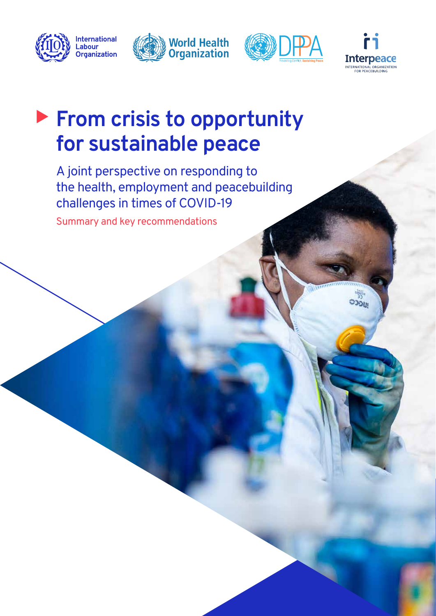







ூலு

## � **From crisis to opportunity for sustainable peace**

A joint perspective on responding to the health, employment and peacebuilding challenges in times of COVID-19

Summary and key recommendations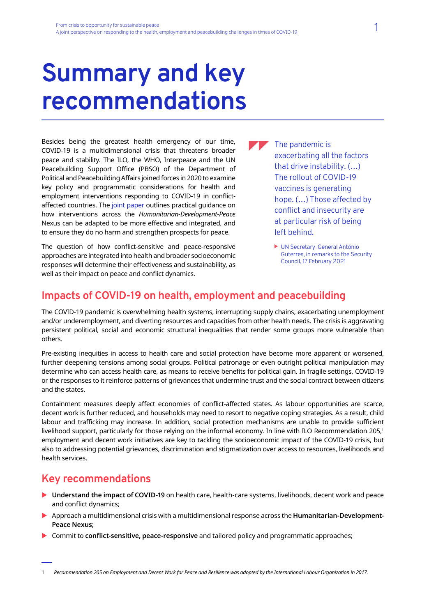# **Summary and key recommendations**

Besides being the greatest health emergency of our time, COVID-19 is a multidimensional crisis that threatens broader peace and stability. The ILO, the WHO, Interpeace and the UN Peacebuilding Support Office (PBSO) of the Department of Political and Peacebuilding Affairs joined forces in 2020 to examine key policy and programmatic considerations for health and employment interventions responding to COVID-19 in conflictaffected countries. The [joint paper](https://www.ilo.org/global/topics/employment-promotion/recovery-and-reconstruction/WCMS_761809/lang--en/index.htm) outlines practical guidance on how interventions across the *Humanitarian-Development-Peace*  Nexus can be adapted to be more effective and integrated, and to ensure they do no harm and strengthen prospects for peace.

The question of how conflict-sensitive and peace-responsive approaches are integrated into health and broader socioeconomic responses will determine their effectiveness and sustainability, as well as their impact on peace and conflict dynamics.

 $\blacksquare$  The pandemic is exacerbating all the factors that drive instability. (…) The rollout of COVID-19 vaccines is generating hope. (…) Those affected by conflict and insecurity are at particular risk of being left behind.

> UN Secretary-General António Guterres, in remarks to the Security Council, 17 February 2021

#### **Impacts of COVID-19 on health, employment and peacebuilding**

The COVID-19 pandemic is overwhelming health systems, interrupting supply chains, exacerbating unemployment and/or underemployment, and diverting resources and capacities from other health needs. The crisis is aggravating persistent political, social and economic structural inequalities that render some groups more vulnerable than others.

Pre-existing inequities in access to health care and social protection have become more apparent or worsened, further deepening tensions among social groups. Political patronage or even outright political manipulation may determine who can access health care, as means to receive benefits for political gain. In fragile settings, COVID-19 or the responses to it reinforce patterns of grievances that undermine trust and the social contract between citizens and the states.

Containment measures deeply affect economies of conflict-affected states. As labour opportunities are scarce, decent work is further reduced, and households may need to resort to negative coping strategies. As a result, child labour and trafficking may increase. In addition, social protection mechanisms are unable to provide sufficient livelihood support, particularly for those relying on the informal economy. In line with ILO Recommendation 205,1 employment and decent work initiatives are key to tackling the socioeconomic impact of the COVID-19 crisis, but also to addressing potential grievances, discrimination and stigmatization over access to resources, livelihoods and health services.

#### **Key recommendations**

- ▶ **Understand the impact of COVID-19** on health care, health-care systems, livelihoods, decent work and peace and conflict dynamics;
- X Approach a multidimensional crisis with a multidimensional response across the **Humanitarian-Development-Peace Nexus**;
- **EXECOMMITY Commit to conflict-sensitive, peace-responsive** and tailored policy and programmatic approaches;

1 *Recommendation 205 on Employment and Decent Work for Peace and Resilience was adopted by the International Labour Organization in 2017.*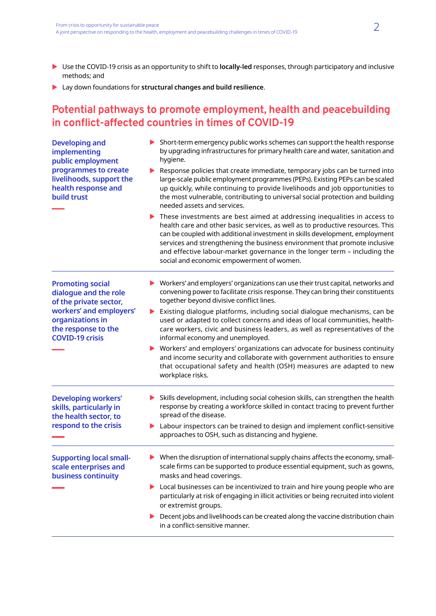- X Use the COVID-19 crisis as an opportunity to shift to **locally-led** responses, through participatory and inclusive methods; and
- X Lay down foundations for **structural changes and build resilience**.

### **Potential pathways to promote employment, health and peacebuilding in conflict-affected countries in times of COVID-19**

| <b>Developing and</b><br>implementing<br>public employment<br>programmes to create<br>livelihoods, support the<br>health response and<br>build trust | $\triangleright$ Short-term emergency public works schemes can support the health response<br>by upgrading infrastructures for primary health care and water, sanitation and<br>hygiene.                                                                                                                                                                                                                                                                                |
|------------------------------------------------------------------------------------------------------------------------------------------------------|-------------------------------------------------------------------------------------------------------------------------------------------------------------------------------------------------------------------------------------------------------------------------------------------------------------------------------------------------------------------------------------------------------------------------------------------------------------------------|
|                                                                                                                                                      | Response policies that create immediate, temporary jobs can be turned into<br>large-scale public employment programmes (PEPs). Existing PEPs can be scaled<br>up quickly, while continuing to provide livelihoods and job opportunities to<br>the most vulnerable, contributing to universal social protection and building<br>needed assets and services.                                                                                                              |
|                                                                                                                                                      | $\blacktriangleright$ These investments are best aimed at addressing inequalities in access to<br>health care and other basic services, as well as to productive resources. This<br>can be coupled with additional investment in skills development, employment<br>services and strengthening the business environment that promote inclusive<br>and effective labour-market governance in the longer term - including the<br>social and economic empowerment of women. |
| <b>Promoting social</b><br>dialogue and the role<br>of the private sector,                                                                           | Workers' and employers' organizations can use their trust capital, networks and<br>convening power to facilitate crisis response. They can bring their constituents<br>together beyond divisive conflict lines.                                                                                                                                                                                                                                                         |
| workers' and employers'<br>organizations in<br>the response to the<br><b>COVID-19 crisis</b>                                                         | Existing dialogue platforms, including social dialogue mechanisms, can be<br>used or adapted to collect concerns and ideas of local communities, health-<br>care workers, civic and business leaders, as well as representatives of the<br>informal economy and unemployed.                                                                                                                                                                                             |
|                                                                                                                                                      | Workers' and employers' organizations can advocate for business continuity<br>and income security and collaborate with government authorities to ensure<br>that occupational safety and health (OSH) measures are adapted to new<br>workplace risks.                                                                                                                                                                                                                    |
| <b>Developing workers'</b><br>skills, particularly in<br>the health sector, to                                                                       | Skills development, including social cohesion skills, can strengthen the health<br>response by creating a workforce skilled in contact tracing to prevent further<br>spread of the disease.                                                                                                                                                                                                                                                                             |
| respond to the crisis                                                                                                                                | Labour inspectors can be trained to design and implement conflict-sensitive<br>approaches to OSH, such as distancing and hygiene.                                                                                                                                                                                                                                                                                                                                       |
| <b>Supporting local small-</b><br>scale enterprises and<br>business continuity                                                                       | $\blacktriangleright$ When the disruption of international supply chains affects the economy, small-<br>scale firms can be supported to produce essential equipment, such as gowns,<br>masks and head coverings.                                                                                                                                                                                                                                                        |
|                                                                                                                                                      | Local businesses can be incentivized to train and hire young people who are<br>particularly at risk of engaging in illicit activities or being recruited into violent<br>or extremist groups.                                                                                                                                                                                                                                                                           |
|                                                                                                                                                      | Decent jobs and livelihoods can be created along the vaccine distribution chain<br>in a conflict-sensitive manner.                                                                                                                                                                                                                                                                                                                                                      |